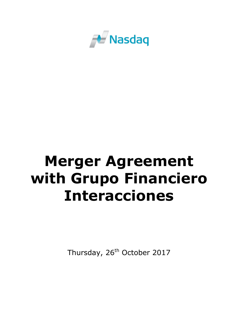

# **Merger Agreement with Grupo Financiero Interacciones**

Thursday, 26<sup>th</sup> October 2017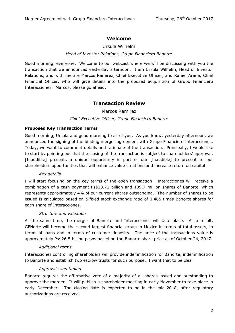# **Welcome**

## Ursula Wilhelm

## *Head of Investor Relations, Grupo Financiero Banorte*

Good morning, everyone. Welcome to our webcast where we will be discussing with you the transaction that we announced yesterday afternoon. I am Ursula Wilhelm, Head of Investor Relations, and with me are Marcos Ramirez, Chief Executive Officer, and Rafael Arana, Chief Financial Officer, who will give details into the proposed acquisition of Grupo Financiero Interacciones. Marcos, please go ahead.

# **Transaction Review**

Marcos Ramirez

## *Chief Executive Officer, Grupo Financiero Banorte*

### **Proposed Key Transaction Terms**

Good morning, Ursula and good morning to all of you. As you know, yesterday afternoon, we announced the signing of the binding merger agreement with Grupo Financiero Interacciones. Today, we want to comment details and rationale of the transaction. Principally, I would like to start by pointing out that the closing of the transaction is subject to shareholders' approval. [Inaudible] presents a unique opportunity is part of our [inaudible] to present to our shareholders opportunities that will enhance value creations and increase return on capital.

#### *Key details*

I will start focusing on the key terms of the open transaction. Interacciones will receive a combination of a cash payment Ps\$13.71 billion and 109.7 million shares of Banorte, which represents approximately 4% of our current shares outstanding. The number of shares to be issued is calculated based on a fixed stock exchange ratio of 0.465 times Banorte shares for each share of Interacciones.

#### *Structure and valuation*

At the same time, the merger of Banorte and Interacciones will take place. As a result, GFNorte will become the second largest financial group in Mexico in terms of total assets, in terms of loans and in terms of customer deposits. The price of the transactions value is approximately Ps\$26.5 billion pesos based on the Banorte share price as of October 24, 2017.

#### *Additional terms*

Interacciones controlling shareholders will provide indemnification for Banorte, indemnification to Banorte and establish two escrow trusts for such purpose. I want that to be clear.

## *Approvals and timing*

Banorte requires the affirmative vote of a majority of all shares issued and outstanding to approve the merger. It will publish a shareholder meeting in early November to take place in early December. The closing date is expected to be in the mid-2018, after regulatory authorizations are received.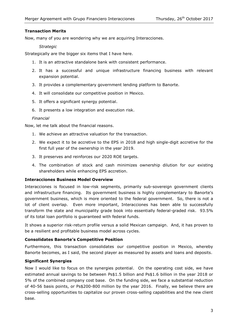## **Transaction Merits**

Now, many of you are wondering why we are acquiring Interacciones.

#### *Strategic*

Strategically are the bigger six items that I have here.

- 1. It is an attractive standalone bank with consistent performance.
- 2. It has a successful and unique infrastructure financing business with relevant expansion potential.
- 3. It provides a complementary government lending platform to Banorte.
- 4. It will consolidate our competitive position in Mexico.
- 5. It offers a significant synergy potential.
- 6. It presents a low integration and execution risk.

#### *Financial*

Now, let me talk about the financial reasons.

- 1. We achieve an attractive valuation for the transaction.
- 2. We expect it to be accretive to the EPS in 2018 and high single-digit accretive for the first full year of the ownership in the year 2019.
- 3. It preserves and reinforces our 2020 ROE targets.
- 4. The combination of stock and cash minimizes ownership dilution for our existing shareholders while enhancing EPS accretion.

#### **Interacciones Business Model Overview**

Interacciones is focused in low-risk segments, primarily sub-sovereign government clients and infrastructure financing. Its government business is highly complementary to Banorte's government business, which is more oriented to the federal government. So, there is not a lot of client overlap. Even more important, Interacciones has been able to successfully transform the state and municipality grade book into essentially federal-graded risk. 93.5% of its total loan portfolio is guaranteed with federal funds.

It shows a superior risk-return profile versus a solid Mexican campaign. And, it has proven to be a resilient and profitable business model across cycles.

#### **Consolidates Banorte's Competitive Position**

Furthermore, this transaction consolidates our competitive position in Mexico, whereby Banorte becomes, as I said, the second player as measured by assets and loans and deposits.

## **Significant Synergies**

Now I would like to focus on the synergies potential. On the operating cost side, we have estimated annual savings to be between Ps\$1.5 billion and Ps\$1.6 billion in the year 2018 or 5% of the combined company cost base. On the funding side, we face a substantial reduction of 40-56 basis points, or Ps\$200-800 million by the year 2016. Finally, we believe there are cross-selling opportunities to capitalize our proven cross-selling capabilities and the new client base.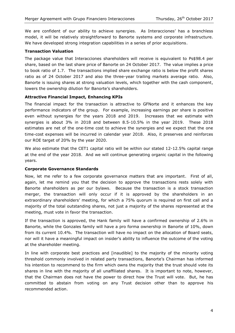We are confident of our ability to achieve synergies. As Interacciones' has a branchless model, it will be relatively straightforward to Banorte systems and corporate infrastructure. We have developed strong integration capabilities in a series of prior acquisitions.

## **Transaction Valuation**

The package value that Interacciones shareholders will receive is equivalent to Ps\$98.4 per share, based on the last share price of Banorte on 24 October 2017. The value implies a price to book ratio of 1.7. The transactions implied share exchange ratio is below the profit shares ratio as of 24 October 2017 and also the three-year trailing markets average ratio. Also, Banorte is issuing shares at strong valuation levels, which together with the cash component, lowers the ownership dilution for Banorte's shareholders.

## **Attractive Financial Impact, Enhancing KPIs**

The financial impact for the transaction is attractive to GFNorte and it enhances the key performance indicators of the group. For example, increasing earnings per share is positive even without synergies for the years 2018 and 2019. Increases that we estimate with synergies is about 3% in 2018 and between 8.5-10.5% in the year 2019. These 2018 estimates are net of the one-time cost to achieve the synergies and we expect that the one time-cost expenses will be incurred in calendar year 2018. Also, it preserves and reinforces our ROE target of 20% by the year 2020.

We also estimate that the CET1 capital ratio will be within our stated 12-12.5% capital range at the end of the year 2018. And we will continue generating organic capital in the following years.

## **Corporate Governance Standards**

Now, let me refer to a few corporate governance matters that are important. First of all, again, let me remind you that the decision to approve the transactions rests solely with Banorte shareholders as per our bylaws. Because the transaction is a stock transaction merger, the transaction will only occur if it is approved by the shareholders in an extraordinary shareholders' meeting, for which a 75% quorum is required on first call and a majority of the total outstanding shares, not just a majority of the shares represented at the meeting, must vote in favor the transaction.

If the transaction is approved, the Hank family will have a confirmed ownership of 2.6% in Banorte, while the Gonzales family will have a pro forma ownership in Banorte of 10%, down from its current 10.4%. The transaction will have no impact on the allocation of Board seats, nor will it have a meaningful impact on insider's ability to influence the outcome of the voting at the shareholder meeting.

In line with corporate best practices and [inaudible] to the majority of the minority voting threshold commonly involved in related party transactions, Banorte's Chairman has informed his intention to recommend to the firm which owns the majority that the trust should vote its shares in line with the majority of all unaffiliated shares. It is important to note, however, that the Chairman does not have the power to direct how the Trust will vote. But, he has committed to abstain from voting on any Trust decision other than to approve his recommended action.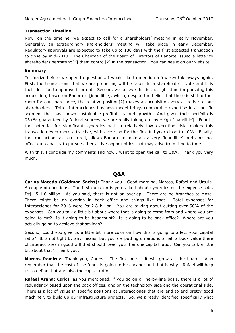### **Transaction Timeline**

Now, on the timeline, we expect to call for a shareholders' meeting in early November. Generally, an extraordinary shareholders' meeting will take place in early December. Regulatory approvals are expected to take up to 180 days with the first expected transaction to close by mid-2018. The Chairman of the Board of Directors of Banorte issued a letter to shareholders permitting[?] them control[?] in the transaction. You can see it on our website.

#### **Summary**

To finalize before we open to questions, I would like to mention a few key takeaways again. First, the transactions that we are proposing will be taken to a shareholders' vote and it is their decision to approve it or not. Second, we believe this is the right time for pursuing this acquisition, based on Banorte's [inaudible], which, despite the belief that there is still further room for our share price, the relative position[?] makes an acquisition very accretive to our shareholders. Third, Interacciones business model brings comparable expertise in a specific segment that has shown sustainable profitability and growth. And given their portfolio is 93+% guaranteed by federal sources, we are really taking on sovereign [inaudible]. Fourth, the potential for significant synergies with a relatively low execution risk, makes this transaction even more attractive, with accretion for the first full year close to 10%. Finally, the transaction, as structured, allows Banorte to maintain a very [inaudible] and does not affect our capacity to pursue other active opportunities that may arise from time to time.

With this, I conclude my comments and now I want to open the call to Q&A. Thank you very much.

## **Q&A**

**Carlos Macedo (Goldman Sachs):** Thank you. Good morning, Marcos, Rafael and Ursula. A couple of questions. The first question is you talked about synergies on the expense side, Ps\$1.5-1.6 billion. As you said, there is not an overlap. There are no branches to close. There might be an overlap in back office and things like that. Total expenses for Interacciones for 2016 were Ps\$2.8 billion. You are talking about cutting over 50% of the expenses. Can you talk a little bit about where that is going to come from and where you are going to cut? Is it going to be headcount? Is it going to be back office? Where are you actually going to achieve that savings?

Second, could you give us a little bit more color on how this is going to affect your capital ratio? It is not tight by any means, but you are putting on around a half a book value there of Interacciones in good will that should lower your tier one capital ratio. Can you talk a little bit about that? Thank you.

**Marcos Ramirez:** Thank you, Carlos. The first one is it will grow all the board. Also remember that the cost of the funds is going to be cheaper and that is why. Rafael will help us to define that and also the capital ratio.

**Rafael Arana:** Carlos, as you mentioned, if you go on a line-by-line basis, there is a lot of redundancy based upon the back offices, and on the technology side and the operational side. There is a lot of value in specific positions at Interacciones that are end to end pretty good machinery to build up our infrastructure projects. So, we already identified specifically what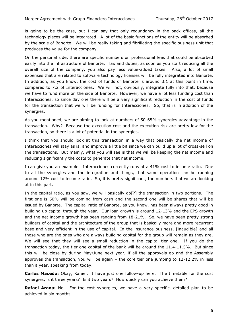is going to be the case, but I can say that only redundancy in the back offices, all the technology pieces will be integrated. A lot of the basic functions of the entity will be absorbed by the scale of Banorte. We will be really taking and fibrillating the specific business unit that produces the value for the company.

On the personal side, there are specific numbers on professional fees that could be absorbed easily into the infrastructure of Banorte. Tax and duties, as soon as you start reducing all the overall size of the company, you also pay less value-added taxes. Also, a lot of small expenses that are related to software technology licenses will be fully integrated into Banorte. In addition, as you know, the cost of funds of Banorte is around 3.1 at this point in time, compared to 7.2 of Interacciones. We will not, obviously, integrate fully into that, because we have to fund more on the side of Banorte. However, we have a lot less funding cost than Interacciones, so since day one there will be a very significant reduction in the cost of funds for the transaction that we will be funding for Interacciones. So, that is in addition of the synergies.

As you mentioned, we are aiming to look at numbers of 50-65% synergies advantage in the transaction. Why? Because the execution cost and the execution risk are pretty low for the transaction, so there is a lot of potential in the synergies.

I think that you should look at this transaction in a way that basically the net income of Interacciones will stay as is, and improve a little bit since we can build up a lot of cross-sell on the transactions. But mainly, what you will see is that we will be keeping the net income and reducing significantly the costs to generate that net income.

I can give you an example. Interacciones currently runs at a 41% cost to income ratio. Due to all the synergies and the integration and things, that same operation can be running around 12% cost to income ratio. So, it is pretty significant, the numbers that we are looking at in this part.

In the capital ratio, as you saw, we will basically do[?] the transaction in two portions. The first one is 50% will be coming from cash and the second one will be shares that will be issued by Banorte. The capital ratio of Banorte, as you know, has been always pretty good in building up capital through the year. Our loan growth is around 12-13% and the EPS growth and the net income growth has been ranging from 18-21%. So, we have been pretty strong builders of capital and the architecture of the group that is basically more and more recurrent base and very efficient in the use of capital. In the insurance business, [inaudible] and all those who are the ones who are always building capital for the group will remain as they are. We will see that they will see a small reduction in the capital tier one. If you do the transaction today, the tier one capital of the bank will be around the 11.4-11.5%. But since this will be close by during May/June next year, if all the approvals go and the Assembly approves the transaction, you will be again – the core tier one jumping to 12-12.2% in less than a year, speaking from today.

**Carlos Macedo:** Okay, Rafael. I have just one follow-up here. The timetable for the cost synergies, is it three years? Is it two years? How quickly can you achieve them?

**Rafael Arana:** No. For the cost synergies, we have a very specific, detailed plan to be achieved in six months.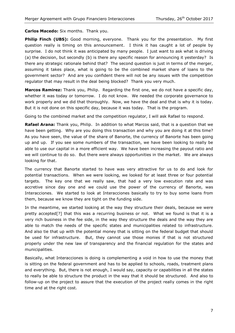**Carlos Macedo:** Six months. Thank you.

Philip Finch (UBS): Good morning, everyone. Thank you for the presentation. My first question really is timing on this announcement. I think it has caught a lot of people by surprise. I do not think it was anticipated by many people. I just want to ask what is driving (a) the decision, but secondly (b) is there any specific reason for announcing it yesterday? Is there any strategic rationale behind that? The second question is just in terms of the merger, assuming it takes place, what is going to be the combined market share of loans to the government sector? And are you confident there will not be any issues with the competition regulator that may result in the deal being blocked? Thank you very much.

**Marcos Ramirez:** Thank you, Philip. Regarding the first one, we do not have a specific day, whether it was today or tomorrow. I do not know. We needed the corporate governance to work properly and we did that thoroughly. Now, we have the deal and that is why it is today. But it is not done on this specific day, because it was today. That is the program.

Going to the combined market and the competition regulator, I will ask Rafael to respond.

**Rafael Arana:** Thank you, Philip. In addition to what Marcos said, that is a question that we have been getting. Why are you doing this transaction and why you are doing it at this time? As you have seen, the value of the share of Banorte, the currency of Banorte has been going up and up. If you see some numbers of the transaction, we have been looking to really be able to use our capital in a more efficient way. We have been increasing the payout ratio and we will continue to do so. But there were always opportunities in the market. We are always looking for that.

The currency that Banorte started to have was very attractive for us to do and look for potential transactions. When we were looking, we looked for at least three or four potential targets. The key one that we really saw, that had a very low execution rate and was accretive since day one and we could use the power of the currency of Banorte, was Interacciones. We started to look at Interacciones basically to try to buy some loans from them, because we know they are tight on the funding side.

In the meantime, we started looking at the way they structure their deals, because we were pretty accepted[?] that this was a recurring business or not. What we found is that it is a very rich business in the fee side, in the way they structure the deals and the way they are able to match the needs of the specific states and municipalities related to infrastructure. And also tie that up with the potential money that is sitting on the federal budget that should be used for infrastructure. But, they cannot use those monies if that is not structured properly under the new law of transparency and the financial regulation for the states and municipalities.

Basically, what Interacciones is doing is complementing a void in how to use the money that is sitting on the federal government and has to be applied to schools, roads, treatment plans and everything. But, there is not enough, I would say, capacity or capabilities in all the states to really be able to structure the product in the way that it should be structured. And also to follow-up on the project to assure that the execution of the project really comes in the right time and at the right cost.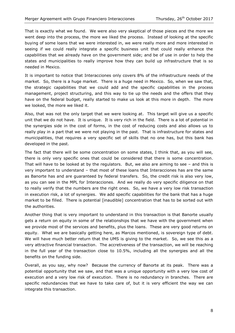That is exactly what we found. We were also very skeptical of those pieces and the more we went deep into the process, the more we liked the process. Instead of looking at the specific buying of some loans that we were interested in, we were really more and more interested in seeing if we could really integrate a specific business unit that could really enhance the capabilities that we already have on the government side; and be of use in order to help the states and municipalities to really improve how they can build up infrastructure that is so needed in Mexico.

It is important to notice that Interacciones only covers 8% of the infrastructure needs of the market. So, there is a huge market. There is a huge need in Mexico. So, when we saw that, the strategic capabilities that we could add and the specific capabilities in the process management, project structuring, and this way to tie up the needs and the offers that they have on the federal budget, really started to make us look at this more in depth. The more we looked, the more we liked it.

Also, that was not the only target that we were looking at. This target will give us a specific unit that we do not have. It is unique. It is very rich in the field. There is a lot of potential in the synergies side in the cost of forms, in the cost of reducing costs and also allows us to really play in a part that we were not playing in the past. That is infrastructure for states and municipalities, that requires a very specific set of skills that no one has, but this bank has developed in the past.

The fact that there will be some concentration on some states, I think that, as you will see, there is only very specific ones that could be considered that there is some concentration. That will have to be looked at by the regulators. But, we also are aiming to see – and this is very important to understand – that most of these loans that Interacciones has are the same as Banorte has and are guaranteed by federal transfers. So, the credit risk is also very low, as you can see in the MPL for Interacciones. And we really do very specific diligence on that to really verify that the numbers are the right ones. So, we have a very low risk transaction in execution risk, a lot of synergies. We add specific capabilities for the bank that has a huge market to be filled. There is potential [inaudible] concentration that has to be sorted out with the authorities.

Another thing that is very important to understand in this transaction is that Banorte usually gets a return on equity in some of the relationships that we have with the government when we provide most of the services and benefits, plus the loans. These are very good returns on equity. What we are basically getting here, as Marcos mentioned, is sovereign type of debt. We will have much better return that the UMS is giving to the market. So, we see this as a very attractive financial transaction. The accretiveness of the transaction, we will be reaching in the full year of the transaction close to 10.5%, including all the synergies and all the benefits on the funding side.

Overall, as you say, why now? Because the currency of Banorte at its peak. There was a potential opportunity that we saw, and that was a unique opportunity with a very low cost of execution and a very low risk of execution. There is no redundancy in branches. There are specific redundancies that we have to take care of, but it is very efficient the way we can integrate this transaction.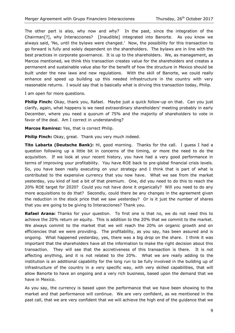The other part is also, why now and why? In the past, since the integration of the Chairman[?], why Interacciones? [Inaudible] integrated into Banorte. As you know we always said, 'No, until the bylaws were changed.' Now, the possibility for this transaction to go forward is fully and solely dependent on the shareholders. The bylaws are in line with the best practices in corporate governance. It is up to the shareholders. We, as management, as Marcos mentioned, we think this transaction creates value for the shareholders and creates a permanent and sustainable value also for the benefit of how the structure in Mexico should be built under the new laws and new regulations. With the skill of Banorte, we could really enhance and speed up building up this needed infrastructure in the country with very reasonable returns. I would say that is basically what is driving this transaction today, Philip.

I am open for more questions.

**Philip Finch:** Okay, thank you, Rafael. Maybe just a quick follow-up on that. Can you just clarify, again, what happens is we need extraordinary shareholders' meeting probably in early December, where you need a quorum of 75% and the majority of shareholders to vote in favor of the deal. Am I correct in understanding?

**Marcos Ramirez:** Yes, that is correct Philip.

**Philip Finch:** Okay, great. Thank you very much indeed.

**Tito Labarta (Deutsche Bank):** Hi, good morning. Thanks for the call. I guess I had a question following up a little bit in concerns of the timing, or more the need to do the acquisition. If we look at your recent history, you have had a very good performance in terms of improving your profitability. You have ROE back to pre-global financial crisis levels. So, you have been really executing on your strategy and I think that is part of what is contributed to the expensive currency that you now have. What we see from the market yesterday, you kind of lost a bit of that premium. One, did you need to do this to reach the 20% ROE target for 2020? Could you not have done it organically? Will you need to do any more acquisitions to do that? Secondly, could there be any changes in the agreement given the reduction in the stock price that we saw yesterday? Or is it just the number of shares that you are going to be giving to Interacciones? Thank you.

**Rafael Arana:** Thanks for your question. To first one is that no, we do not need this to achieve the 20% return on equity. This is addition to the 20% that we commit to the market. We always commit to the market that we will reach the 20% on organic growth and on efficiencies that we were providing. The profitability, as you say, has been assured and is ongoing. What happened yesterday, yes, there was a big drop on the share. I think it was important that the shareholders have all the information to make the right decision about this transaction. They will see that the accretiveness of this transaction is there. It is not affecting anything, and it is not related to the 20%. What we are really adding to the institution is an additional capability for the long run to be fully involved in the building up of infrastructure of the country in a very specific way, with very skilled capabilities, that will allow Banorte to have an ongoing and a very rich business, based upon the demand that we have in Mexico.

As you say, the currency is based upon the performance that we have been showing to the market and that performance will continue. We are very confident, as we mentioned in the past call, that we are very confident that we will achieve the high end of the guidance that we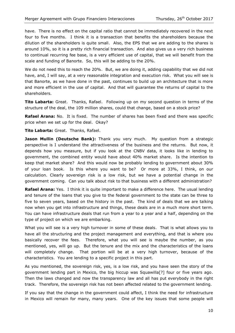have. There is no effect on the capital ratio that cannot be immediately recovered in the next four to five months. I think it is a transaction that benefits the shareholders because the dilution of the shareholders is quite small. Also, the EPS that we are adding to the shares is around 10%, so it is a pretty rich financial transaction. And also gives us a very rich business to continual recurring fee base, is a very efficient use of capital, that we will benefit from the scale and funding of Banorte. So, this will be adding to the 20%.

We do not need this to reach the 20%. But, we are doing it, adding capability that we did not have, and, I will say, at a very reasonable integration and execution risk. What you will see is that Banorte, as we have done in the past, continues to build up an architecture that is more and more efficient in the use of capital. And that will guarantee the returns of capital to the shareholders.

**Tito Labarta:** Great. Thanks, Rafael. Following up on my second question in terms of the structure of the deal, the 109 million shares, could that change, based on a stock price?

**Rafael Arana:** No. It is fixed. The number of shares has been fixed and there was specific price when we set up for the deal. Okay?

**Tito Labarta:** Great. Thanks, Rafael.

**Jason Mullin (Deutsche Bank):** Thank you very much. My question from a strategic perspective is I understand the attractiveness of the business and the returns. But now, it depends how you measure, but if you look at the CNBV data, it looks like in lending to government, the combined entity would have about 40% market share. Is the intention to keep that market share? And this would now be probably lending to government about 30% of your loan book. Is this where you want to be? Or more at 33%, I think, on our calculation. Clearly sovereign risk is a low risk, but we have a potential change in the government coming. Can you talk about risk to that business with a different administration?

**Rafael Arana:** Yes. I think it is quite important to make a difference here. The usual lending and tenure of the loans that you give to the federal government to the state can be three to five to seven years, based on the history in the past. The kind of deals that we are talking now when you get into infrastructure and things, these deals are in a much more short term. You can have infrastructure deals that run from a year to a year and a half, depending on the type of project on which we are embarking.

What you will see is a very high turnover in some of these deals. That is what allows you to have all the structuring and the project management and everything, and that is where you basically recover the fees. Therefore, what you will see is maybe the number, as you mentioned, yes, will go up. But the tenure and the mix and the characteristics of the loans will completely change. That portion will be at a very high turnover, because of the characteristics. You are lending to a specific project in this part.

As you mentioned, the sovereign risk, yes, is a low risk, and you have seen the story of the government lending part in Mexico, the big hiccup was Squawilla[?] four or five years ago. Then the laws changed and now the transparency law and all has put everybody in the right track. Therefore, the sovereign risk has not been affected related to the government lending.

If you say that the change in the government could affect, I think the need for infrastructure in Mexico will remain for many, many years. One of the key issues that some people will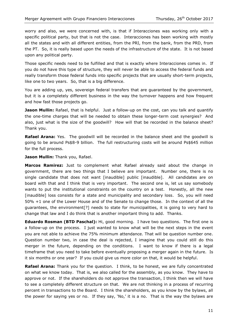worry and also, we were concerned with, is that if Interacciones was working only with a specific political party, but that is not the case. Interacciones has been working with mostly all the states and with all different entities, from the PRI, from the bank, from the PRD, from the PT. So, it is really based upon the needs of the infrastructure of the state. It is not based upon any political party.

Those specific needs need to be fulfilled and that is exactly where Interacciones comes in. If you do not have this type of structure, they will never be able to access the federal funds and really transform those federal funds into specific projects that are usually short-term projects, like one to two years. So, that is a big difference.

You are adding up, yes, sovereign federal transfers that are guaranteed by the government, but it is a completely different business in the way the turnover happens and how frequent and how fast those projects go.

Jason Mullin: Rafael, that is helpful. Just a follow-up on the cost, can you talk and quantify the one-time charges that will be needed to obtain these longer-term cost synergies? And also, just what is the size of the goodwill? How will that be recorded in the balance sheet? Thank you.

**Rafael Arana:** Yes. The goodwill will be recorded in the balance sheet and the goodwill is going to be around Ps\$8-9 billion. The full restructuring costs will be around Ps\$645 million for the full process.

**Jason Mullin:** Thank you, Rafael.

**Marcos Ramirez:** Just to complement what Rafael already said about the change in government, there are two things that I believe are important. Number one, there is no single candidate that does not want [inaudible] public [inaudible]. All candidates are on board with that and I think that is very important. The second one is, let us say somebody wants to put the institutional constraints on the country on a test. Honestly, all the new [inaudible] loss consists for a state and municipality and secondary loss. So, you will need 50% +1 one of the Lower House and of the Senate to change those. In the context of all the guarantees, the environment[?] needs to state for municipalities, it is going to very hard to change that law and I do think that is another important thing to add. Thanks.

**Eduardo Rosman (BTD Paschal):** Hi, good morning. I have two questions. The first one is a follow-up on the process. I just wanted to know what will be the next steps in the event you are not able to achieve the 75% minimum attendance. That will be question number one. Question number two, in case the deal is rejected, I imagine that you could still do this merger in the future, depending on the conditions. I want to know if there is a legal timeframe that you need to take before eventually proposing a merger again in the future. Is it six months or one year? If you could give us more color on that, it would be helpful.

**Rafael Arana:** Thank you for the question. I think, to be honest, we are fully concentrated on what we know today. That is, we also called for the assembly, as you know. They have to approve or not. If the shareholders do not approve the transaction, I think then we will have to see a completely different structure on that. We are not thinking in a process of recurring percent in transactions to the Board. I think the shareholders, as you know by the bylaws, all the power for saying yes or no. If they say, 'No,' it is a no. That is the way the bylaws are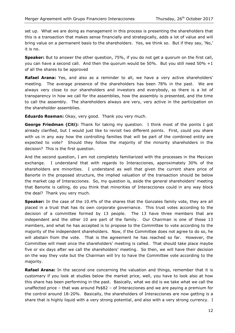set up. What we are doing as management in this process is presenting the shareholders that this is a transaction that makes sense financially and strategically, adds a lot of value and will bring value on a permanent basis to the shareholders. Yes, we think so. But if they say, 'No,' it is no.

**Speaker:** But to answer the other question, 75%, if you do not get a quorum on the first call, you can have a second call. And then the quorum would be 50%. But you still need 50% +1 of all the shares to be approved

**Rafael Arana:** Yes, and also as a reminder to all, we have a very active shareholders' meeting. The average presence of the shareholders has been 78% in the past. We are always very close to our shareholders and investors and everybody, so there is a lot of transparency in how we call for the assemblies, how the assembly is presented, and the time to call the assembly. The shareholders always are very, very active in the participation on the shareholder assemblies.

**Eduardo Rosman:** Okay, very good. Thank you very much.

**George Friedman (Citi):** Thank for taking my question. I think most of the points I got already clarified, but I would just like to revisit two different points. First, could you share with us in any way how the controlling families that will be part of the combined entity are expected to vote? Should they follow the majority of the minority shareholders in the decision? This is the first question.

And the second question, I am not completely familiarized with the processes in the Mexican exchange. I understand that with regards to Interacciones, approximately 30% of the shareholders are minorities. I understand as well that given the current share price of Banorte in the proposed structure, the implied valuation of the transaction should be below the market cap of Interacciones. So, my question is, aside the general shareholders' meeting that Banorte is calling, do you think that minorities of Interacciones could in any way block the deal? Thank you very much.

**Speaker:** In the case of the 10.4% of the shares that the Gonzales family vote, they are all placed in a trust that has its own corporate governance. This trust votes according to the decision of a committee formed by 13 people. The 13 have three members that are independent and the other 10 are part of the family. Our Chairman is one of those 13 members, and what he has accepted is to propose to the Committee to vote according to the majority of the independent shareholders. Now, if the Committee does not agree to do so, he will abstain from the vote. That is the agreement he has reached so far. However, the Committee will meet once the shareholders' meeting is called. That should take place maybe five or six days after we call the shareholders' meeting. So then, we will have their decision on the way they vote but the Chairman will try to have the Committee vote according to the majority.

**Rafael Arana:** In the second one concerning the valuation and things, remember that it is customary if you look at studies below the market price, well, you have to look also at how this share has been performing in the past. Basically, what we did is we take what we call the unaffected price – that was around Ps\$82 – of Interacciones and we are paying a premium for the control around 18-20%. Basically, the shareholders of Interacciones are now getting is a share that is highly liquid with a very strong potential, and also with a very strong currency. I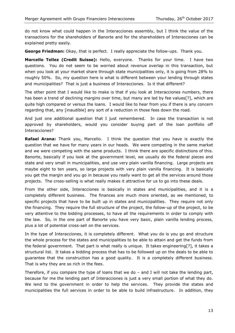do not know what could happen in the Interacciones assembly, but I think the value of the transactions for the shareholders of Banorte and for the shareholders of Interacciones can be explained pretty easily.

**George Friedman:** Okay, that is perfect. I really appreciate the follow-ups. Thank you.

**Marcello Tellez (Credit Suisse):** Hello, everyone. Thanks for your time. I have two questions. You do not seem to be worried about revenue overlap in this transaction, but when you look at your market share through state municipalities only, it is going from 28% to roughly 50%. So, my question here is what is different between your lending through states and municipalities? That is just a business of Interacciones. Is it that different?

The other point that I would like to make is that if you look at Interacciones numbers, there has been a trend of declining margins over time, but many are led by fee values[?], which are quite high compared or versus the loans. I would like to hear from you if there is any concern regarding that, any [inaudible] any sort of a reduction in those fees down the road.

And just one additional question that I just remembered. In case the transaction is not approved by shareholders, would you consider buying part of the loan portfolio off Interacciones?

**Rafael Arana:** Thank you, Marcello. I think the question that you have is exactly the question that we have for many years in our heads. We were competing in the same market and we were competing with the same products. I think there are specific distinctions of this. Banorte, basically if you look at the government level, we usually do the federal pieces and state and very small in municipalities, and use very plain vanilla financing. Large projects are maybe eight to ten years, so large projects with very plain vanilla financing. It is basically you get the margin and you go in because you really want to get all the services around those projects. The cross-selling is what really makes it attractive for us to go into these deals.

From the other side, Interacciones is basically in states and municipalities, and it is a completely different business. The finances are much more oriented, as we mentioned, to specific projects that have to be built up in states and municipalities. They require not only the financing. They require the full structure of the project, the follow-up of the project, to be very attentive to the bidding processes, to have all the requirements in order to comply with the law. So, in the one part of Banorte you have very basic, plain vanilla lending process, plus a lot of potential cross-sell on the services.

In the type of Interacciones, it is completely different. What you do is you go and structure the whole process for the states and municipalities to be able to attain and get the funds from the federal government. That part is what really is unique. It takes engineering[?], it takes a structural list. It takes a bidding process that has to be followed up on the deals to be able to guarantee that the construction has a good quality. It is a completely different business. That is why they are so rich in the fees.

Therefore, if you compare the type of loans that we do – and I will not take the lending part, because for me the lending part of Interacciones is just a very small portion of what they do. We lend to the government in order to help the services. They provide the states and municipalities the full services in order to be able to build infrastructure. In addition, they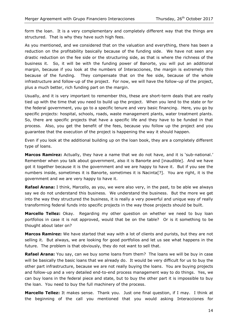form the loan. It is a very complementary and completely different way that the things are structured. That is why they have such high fees.

As you mentioned, and we considered that on the valuation and everything, there has been a reduction on the profitability basically because of the funding side. We have not seen any drastic reduction on the fee side or the structuring side, as that is where the richness of the business it. So, it will be with the funding power of Banorte, you will put an additional margin, because if you look at the numbers of Interacciones, the margin is extremely thin because of the funding. They compensate that on the fee side, because of the whole infrastructure and follow-up of the project. For now, we will have the follow-up of the project, plus a much better, rich funding part on the margin.

Usually, and it is very important to remember this, these are short-term deals that are really tied up with the time that you need to build up the project. When you lend to the state or for the federal government, you go to a specific tenure and very basic financing. Here, you go by specific projects: hospital, schools, roads, waste management plants, water treatment plants. So, there are specific projects that have a specific life and they have to be funded in that process. Also, you get the benefit of the fees, because you follow up the project and you guarantee that the execution of the project is happening the way it should happen.

Even if you look at the additional building up on the loan book, they are a completely different type of loans.

**Marcos Ramirez:** Actually, they have a name that we do not have, and it is 'sub-national.' Remember when you talk about government, also it is Banorte and [inaudible]. And we have got it together because it is the government and we are happy to have it. But if you see the numbers inside, sometimes it is Banorte, sometimes it is Nacinta[?]. You are right, it is the government and we are very happy to have it.

**Rafael Arana:** I think, Marcello, as you, we were also very, in the past, to be able we always say we do not understand this business. We understand the business. But the more we get into the way they structured the business, it is really a very powerful and unique way of really transforming federal funds into specific projects in the way those projects should be built.

**Marcello Tellez:** Okay. Regarding my other question on whether we need to buy loan portfolios in case it is not approved, would that be on the table? Or is it something to be thought about later on?

**Marcos Ramirez:** We have started that way with a lot of clients and purists, but they are not selling it. But always, we are looking for good portfolios and let us see what happens in the future. The problem is that obviously, they do not want to sell that.

**Rafael Arana:** You say, can we buy some loans from them? The loans we will be buy in case will be basically the basic loans that we already do. It would be very difficult for us to buy the other part infrastructure, because we are not really buying the loans. You are buying projects and follow-up and a very detailed end-to-end process management way to do things. Yes, we can buy loans in the federal piece and state, but to buy the other part it is impossible to buy the loan. You need to buy the full machinery of the process.

**Marcello Tellez:** It makes sense. Thank you. Just one final question, if I may. I think at the beginning of the call you mentioned that you would asking Interacciones for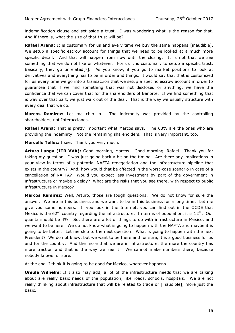indemnification clause and set aside a trust. I was wondering what is the reason for that. And if there is, what the size of that trust will be?

**Rafael Arana:** It is customary for us and every time we buy the same happens [inaudible]. We setup a specific escrow account for things that we need to be looked at a much more specific detail. And that will happen from now until the closing. It is not that we see something that we do not like or whatever. For us it is customary to setup a specific trust. Basically, they go unrelated[?]. As you know, if you go to market positions to look at derivatives and everything has to be in order and things. I would say that that is customized for us every time we go into a transaction that we setup a specific escrow account in order to guarantee that if we find something that was not disclosed or anything, we have the confidence that we can cover that for the shareholders of Banorte. If we find something that is way over that part, we just walk out of the deal. That is the way we usually structure with every deal that we do.

**Marcos Ramirez:** Let me chip in. The indemnity was provided by the controlling shareholders, not Interacciones.

**Rafael Arana:** That is pretty important what Marcos says. The 68% are the ones who are providing the indemnity. Not the remaining shareholders. That is very important, too.

**Marcello Tellez:** I see. Thank you very much.

**Arturo Langa (ITR VVA):** Good morning, Marcos. Good morning, Rafael. Thank you for taking my question. I was just going back a bit on the timing. Are there any implications in your view in terms of a potential NAFTA renegotiation and the infrastructure pipeline that exists in the country? And, how would that be affected in the worst-case scenario in case of a cancellation of NAFTA? Would you expect less investment by part of the government in infrastructure or maybe a delay? What are the risks that you see there, with respect to public infrastructure in Mexico?

**Marcos Ramirez:** Well, Arturo, those are tough questions. We do not know for sure the answer. We are in this business and we want to be in this business for a long time. Let me give you some numbers. If you look in the Internet, you can find out in the OCDE that Mexico is the  $62^{nd}$  country regarding the infrastructure. In terms of population, it is  $12^{th}$ . Our quanta should be 4%. So, there are a lot of things to do with infrastructure in Mexico, and we want to be here. We do not know what is going to happen with the NAFTA and maybe it is going to be better. Let me skip to the next question. What is going to happen with the next President? We do not know, but we want to be there and for sure, it is a good business for us and for the country. And the more that we are in infrastructure, the more the country has more traction and that is the way we see it. We cannot make numbers there, because nobody knows for sure.

At the end, I think it is going to be good for Mexico, whatever happens.

**Ursula Wilhelm:** If I also may add, a lot of the infrastructure needs that we are talking about are really basic needs of the population, like roads, schools, hospitals. We are not really thinking about infrastructure that will be related to trade or [inaudible], more just the basic.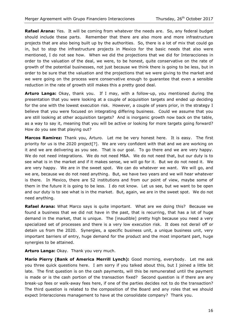**Rafael Arana:** Yes. It will be coming from whatever the needs are. So, any federal budget should include these parts. Remember that there are also more and more infrastructure projects that are also being built up by the authorities. So, there is a lot of mix that could go in, but to stop the infrastructure projects in Mexico for the basic needs that also were mentioned, I do not see how. When we did the projections that we did for Interacciones in order to the valuation of the deal, we were, to be honest, quite conservative on the rate of growth of the potential businesses, not just because we think there is going to be less, but in order to be sure that the valuation and the projections that we were giving to the market and we were going on the process were conservative enough to guarantee that even a sensible reduction in the rate of growth still makes this a pretty good deal.

**Arturo Langa:** Okay, thank you. If I may, with a follow-up, you mentioned during the presentation that you were looking at a couple of acquisition targets and ended up deciding for the one with the lowest execution risk. However, a couple of years prior, in the strategy I believe that you were focused on integrating differing business. Could we assume that you are still looking at other acquisition targets? And is inorganic growth now back on the table, as a way to say it, meaning that you will be active or looking for more targets going forward? How do you see that playing out?

**Marcos Ramirez:** Thank you, Arturo. Let me be very honest here. It is easy. The first priority for us is the 2020 project[?]. We are very confident with that and we are working on it and we are delivering as you see. That is our goal. To go there and we are very happy. We do not need integrations. We do not need M&A. We do not need that, but our duty is to see what is in the market and if it makes sense, we will go for it. But we do not need it. We are very happy. We are in the sweet spot. We can do whatever we want. We will go, and we are, because we do not need anything. But, we have two years and we will hear whatever is there. In Mexico, there are 52 institutions and from our point of view, maybe some of them in the future it is going to be less. I do not know. Let us see, but we want to be open and our duty is to see what is in the market. But, again, we are in the sweet spot. We do not need anything.

**Rafael Arana:** What Marco says is quite important. What are we doing this? Because we found a business that we did not have in the past, that is recurring, that has a lot of huge demand in the market, that is unique. The [inaudible] pretty high because you need a very specialized set of processes and there is a very low execution risk. It does not derail off or detain us from the 2020. Synergies, a specific business unit, a unique business unit, very important barriers of entry, huge demand for the product and the most important part, huge synergies to be attained.

**Arturo Langa:** Okay. Thank you very much.

**Mario Pierry (Bank of America Merrill Lynch):** Good morning, everybody. Let me ask you three quick questions here. I am sorry if you talked about this, but I joined a little bit late. The first question is on the cash payments, will this be remunerated until the payment is made or is the cash portion of the transaction fixed? Second question is if there are any break-up fees or walk-away fees here, if one of the parties decides not to do the transaction? The third question is related to the composition of the Board and any roles that we should expect Interacciones management to have at the consolidate company? Thank you.